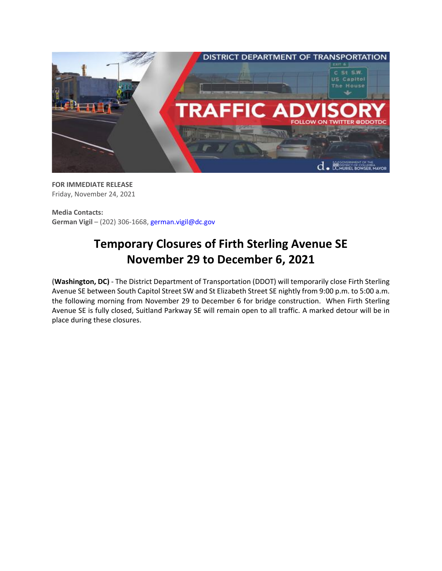

**FOR IMMEDIATE RELEASE** Friday, November 24, 2021

**Media Contacts: German Vigil** – (202) 306-1668, [german.vigil@dc.gov](mailto:german.vigil@dc.gov)

## **Temporary Closures of Firth Sterling Avenue SE November 29 to December 6, 2021**

**(Washington, DC)** - The District Department of Transportation (DDOT) will temporarily close Firth Sterling Avenue SE between South Capitol Street SW and St Elizabeth Street SE nightly from 9:00 p.m. to 5:00 a.m. the following morning from November 29 to December 6 for bridge construction. When Firth Sterling Avenue SE is fully closed, Suitland Parkway SE will remain open to all traffic. A marked detour will be in place during these closures.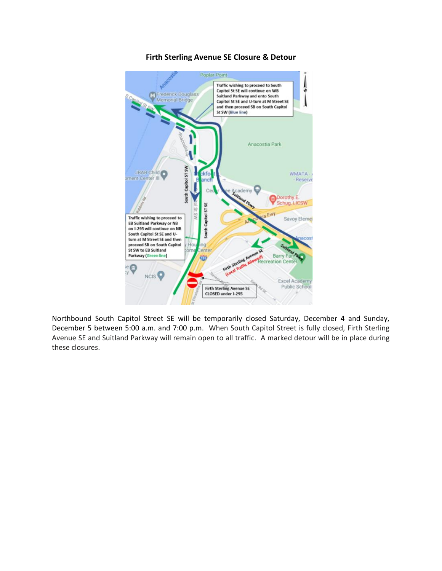

## **Firth Sterling Avenue SE Closure & Detour**

Northbound South Capitol Street SE will be temporarily closed Saturday, December 4 and Sunday, December 5 between 5:00 a.m. and 7:00 p.m. When South Capitol Street is fully closed, Firth Sterling Avenue SE and Suitland Parkway will remain open to all traffic. A marked detour will be in place during these closures.